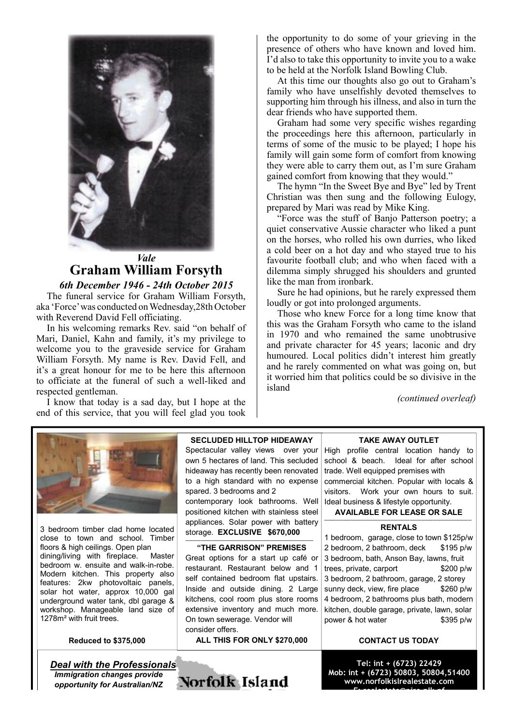

# *Vale* **Graham William Forsyth**

*6th December 1946 - 24th October 2015* The funeral service for Graham William Forsyth, aka 'Force' was conducted on Wednesday,28th October with Reverend David Fell officiating.

In his welcoming remarks Rev. said "on behalf of Mari, Daniel, Kahn and family, it's my privilege to welcome you to the graveside service for Graham William Forsyth. My name is Rev. David Fell, and it's a great honour for me to be here this afternoon to officiate at the funeral of such a well-liked and respected gentleman.

I know that today is a sad day, but I hope at the end of this service, that you will feel glad you took

the opportunity to do some of your grieving in the presence of others who have known and loved him. I'd also to take this opportunity to invite you to a wake to be held at the Norfolk Island Bowling Club.

At this time our thoughts also go out to Graham's family who have unselfishly devoted themselves to supporting him through his illness, and also in turn the dear friends who have supported them.

Graham had some very specific wishes regarding the proceedings here this afternoon, particularly in terms of some of the music to be played; I hope his family will gain some form of comfort from knowing they were able to carry them out, as I'm sure Graham gained comfort from knowing that they would."

The hymn "In the Sweet Bye and Bye" led by Trent Christian was then sung and the following Eulogy, prepared by Mari was read by Mike King.

"Force was the stuff of Banjo Patterson poetry; a quiet conservative Aussie character who liked a punt on the horses, who rolled his own durries, who liked a cold beer on a hot day and who stayed true to his favourite football club; and who when faced with a dilemma simply shrugged his shoulders and grunted like the man from ironbark.

Sure he had opinions, but he rarely expressed them loudly or got into prolonged arguments.

Those who knew Force for a long time know that this was the Graham Forsyth who came to the island in 1970 and who remained the same unobtrusive and private character for 45 years; laconic and dry humoured. Local politics didn't interest him greatly and he rarely commented on what was going on, but it worried him that politics could be so divisive in the island

*(continued overleaf)*



3 bedroom timber clad home located close to town and school. Timber floors & high ceilings. Open plan dining/living with fireplace. Master bedroom w. ensuite and walk-in-robe. Modern kitchen. This property also features: 2kw photovoltaic panels, solar hot water, approx 10,000 gal underground water tank, dbl garage & workshop. Manageable land size of 1278m<sup>2</sup> with fruit trees.

#### **Reduced to \$375,000**

**Deal with the Professionals Immigration changes provide** opportunity for Australian/NZ

#### **SECLUDED HILLTOP HIDEAWAY**

Spectacular valley views over your own 5 hectares of land. This secluded hideaway has recently been renovated to a high standard with no expense spared. 3 bedrooms and 2 contemporary look bathrooms. Well positioned kitchen with stainless steel appliances. Solar power with battery storage. EXCLUSIVE \$670,000

#### "THE GARRISON" PREMISES Great options for a start up café or

restaurant. Restaurant below and 1 self contained bedroom flat upstairs. Inside and outside dining. 2 Large kitchens, cool room plus store rooms extensive inventory and much more. On town sewerage. Vendor will consider offers.

ALL THIS FOR ONLY \$270,000

# Norfolk Island

#### **TAKE AWAY OUTLET**

High profile central location handy to school & beach. Ideal for after school trade. Well equipped premises with commercial kitchen. Popular with locals & visitors. Work your own hours to suit. Ideal business & lifestyle opportunity.

**AVAILABLE FOR LEASE OR SALE** 

#### **RENTALS**

1 bedroom, garage, close to town \$125p/w 2 bedroom, 2 bathroom, deck \$195 p/w 3 bedroom, bath, Anson Bay, lawns, fruit trees, private, carport \$200 p/w 3 bedroom, 2 bathroom, garage, 2 storey sunny deck, view, fire place \$260 p/w 4 bedroom, 2 bathrooms plus bath, modern kitchen, double garage, private, lawn, solar power & hot water \$395 p/w

## **CONTACT US TODAY**

Tel: int + (6723) 22429 Mob: int + (6723) 50803, 50804,51400 www.norfolkislrealestate.com Especial color in Antipapa Hand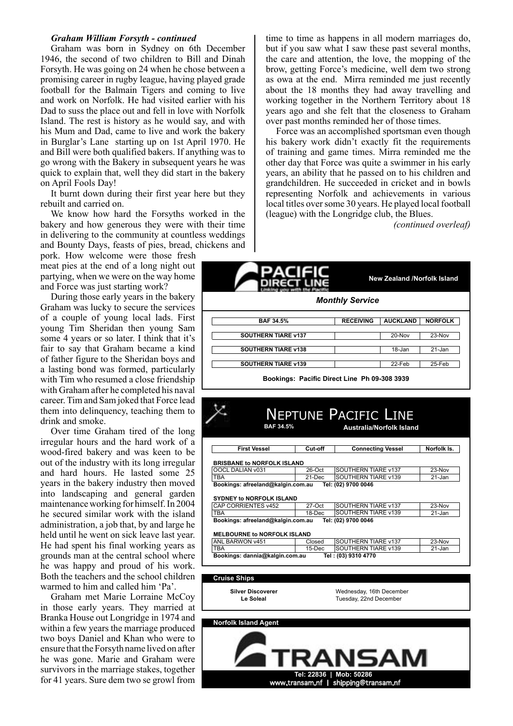#### **Graham William Forsyth - continued**

Graham was born in Sydney on 6th December 1946, the second of two children to Bill and Dinah Forsyth. He was going on 24 when he chose between a promising career in rugby league, having played grade football for the Balmain Tigers and coming to live and work on Norfolk. He had visited earlier with his Dad to suss the place out and fell in love with Norfolk Island. The rest is history as he would say, and with his Mum and Dad, came to live and work the bakery in Burglar's Lane starting up on 1st April 1970. He and Bill were both qualified bakers. If anything was to go wrong with the Bakery in subsequent years he was quick to explain that, well they did start in the bakery on April Fools Day!

It burnt down during their first year here but they rebuilt and carried on.

We know how hard the Forsyths worked in the bakery and how generous they were with their time in delivering to the community at countless weddings and Bounty Days, feasts of pies, bread, chickens and

pork. How welcome were those fresh meat pies at the end of a long night out partying, when we were on the way home and Force was just starting work?

During those early years in the bakery Graham was lucky to secure the services of a couple of young local lads. First young Tim Sheridan then young Sam some 4 years or so later. I think that it's fair to say that Graham became a kind of father figure to the Sheridan boys and a lasting bond was formed, particularly with Tim who resumed a close friendship with Graham after he completed his naval career. Tim and Sam joked that Force lead them into delinguency, teaching them to drink and smoke.

Over time Graham tired of the long irregular hours and the hard work of a wood-fired bakery and was keen to be out of the industry with its long irregular and hard hours. He lasted some 25 years in the bakery industry then moved into landscaping and general garden maintenance working for himself. In 2004 he secured similar work with the island administration, a job that, by and large he held until he went on sick leave last year. He had spent his final working years as grounds man at the central school where he was happy and proud of his work. Both the teachers and the school children warmed to him and called him 'Pa'.

Graham met Marie Lorraine McCoy in those early years. They married at Branka House out Longridge in 1974 and within a few years the marriage produced two boys Daniel and Khan who were to ensure that the Forsyth name lived on after he was gone. Marie and Graham were survivors in the marriage stakes, together for 41 years. Sure dem two se growl from

time to time as happens in all modern marriages do, but if you saw what I saw these past several months. the care and attention, the love, the mopping of the brow, getting Force's medicine, well dem two strong as owa at the end. Mirra reminded me just recently about the 18 months they had away travelling and working together in the Northern Territory about 18 years ago and she felt that the closeness to Graham over past months reminded her of those times.

Force was an accomplished sportsman even though his bakery work didn't exactly fit the requirements of training and game times. Mirra reminded me the other day that Force was quite a swimmer in his early years, an ability that he passed on to his children and grandchildren. He succeeded in cricket and in bowls representing Norfolk and achievements in various local titles over some 30 years. He played local football (league) with the Longridge club, the Blues.

(continued overleaf)

|                            |                  | <b>New Zealand /Norfolk Island</b> |                |  |
|----------------------------|------------------|------------------------------------|----------------|--|
| <b>Monthly Service</b>     |                  |                                    |                |  |
| <b>BAF 34.5%</b>           | <b>RECEIVING</b> | <b>AUCKLAND</b>                    | <b>NORFOLK</b> |  |
| <b>SOUTHERN TIARE v137</b> |                  | 20-Nov                             | 23-Nov         |  |
| <b>SOUTHERN TIARE v138</b> |                  | 18-Jan                             | $21 - Jan$     |  |
|                            |                  | 22-Feb                             | 25-Feb         |  |

| <b>First Vessel</b>                                                    | Cut-off          | <b>Connecting Vessel</b>                                          | Norfolk Is.      |
|------------------------------------------------------------------------|------------------|-------------------------------------------------------------------|------------------|
| <b>BRISBANE to NORFOLK ISLAND</b><br>OOCL DALIAN v031                  | 26-Oct           | <b>SOUTHERN TIARE v137</b>                                        | 23-Nov           |
| <b>TBA</b><br>Bookings: afreeland@kalgin.com.au                        | $21-Dec$         | SOUTHERN TIARE v139<br>Tel: (02) 9700 0046                        | $21 - Jan$       |
| CAP CORRIENTES v452<br><b>TBA</b><br>Bookings: afreeland@kalgin.com.au | 27-Oct<br>18-Dec | SOUTHERN TIARE v137<br>SOUTHERN TIARE v139<br>Tel: (02) 9700 0046 | 23-Nov<br>21-Jan |
| <b>MELBOURNE to NORFOLK ISLAND</b>                                     |                  |                                                                   |                  |
| ANL BARWON v451                                                        | Closed           | SOUTHERN TIARE v137<br><b>SOUTHERN TIARE v139</b>                 | 23-Nov           |
| <b>TBA</b><br>Bookings: dannia@kalgin.com.au                           | 15-Dec           | Tel: (03) 9310 4770                                               | 21-Jan           |
|                                                                        |                  |                                                                   |                  |
| <b>Cruise Ships</b>                                                    |                  |                                                                   |                  |
| <b>Silver Discoverer</b><br>Le Soleal                                  |                  | Wednesday, 16th December<br>Tuesday, 22nd December                |                  |
|                                                                        |                  |                                                                   |                  |